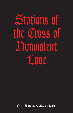Stations of the Cross of Nonviolent **Love** 

(Rev.) Emmanuel Charles McCarthy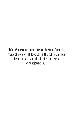The Christian cannot desire freedom from the cross of nonviolent love when the Christian has been chosen specifically for the cross of nonviolent love.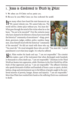## 1. Jesus is Condemned to Death by Pilate

V. We adore you O Christ and we praise you.

R. Because by your Holy Cross you have redeemed the world.

How many others have heard the state bureaucrat say, "We cannot tolerate you. We cannot help you. The world will be a better place without you. You must die." What goes through the mind of the victim when he or she hears, "You are to be executed!" Over the centuries many who have claimed to be followers of Jesus have stood with the historical "community of executioners"—kings, presidents, governors, judges, soldiers, police, wardens, hangmen. Jesus himself stood with the historical "community of the executed." He did not stand with those who say,



"You must die." He stood alongside those who are told, "You must die." Capital punishment is not what Jesus taught. It is what he suffered.

But, Pilate washes his hands and says, "I am not responsible." The scientist who makes a part of the instrument that when discharged sends hundreds or thousands to a fiery death says, "I am not responsible." Christians in the Third World are beaten into oppression, while Christians in the First World live off the fruits of that oppression and say, "I am not responsible." The affluent Christian who spends thousands of dollars and hundreds of hours a year on sports, alcohol, fashion, drugs and entertainment says to the billions of people caught in the unrelieved miseries of poverty, hunger, disease and injustice, "I am not responsible." More than Pilate have washed their hands as the suffering Christ was condemned to death.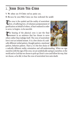## 2. Jesus Bears His Cross

V. We adore you O Christ and we praise you.

R. Because by your Holy Cross you have redeemed the world.

The cross is the symbol and the reality of nonviolent love, of suffering love, of voluntary postponement of gratification on behalf of others, of hurt endured in order to serve, to forgive—to be merciful.

The bearing of the physical cross is just the final moment in an existence that has chosen to serve others rather than indulge itself. The cross of nonviolent love is not an isolated instant. It is a free choice of a radically different verbal pattern, thought pattern, emotional pattern, behavior pattern. That is, it is the free choice of



a radically different reality orientation and self-understanding. When we sign ourselves with the sign of the cross, we are symbolically saying to ourselves, to the world and to God that we choose to pick up Christ's cross and follow his way, that we choose, as he did, to bear the cross of nonviolent love unto death.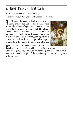## 3. Jesus Falls the First Time

V. We adore you O Christ and we praise you.

R. Because by your Holy Cross you have redeemed the world.

To fall under the abnormal burden of the cross of nonviolent love is painful. For the person who wants to love, who believes in forgiveness, who desires to serve, who wishes to reconcile, who is committed to patience, kindness, meekness and mercy—for this person to fail hurts and hurts deeply. Fatigue, ignorance, fear, selfishness, false securities, prior nurturing, self-righteousness, escapism and idolatry all stand always ready to trip-up, to knock down the bearer of the cross of nonviolent love.



Put Jesus teaches that when, for whatever reason, we

 $\mathcal{D}$ fall under the humanly impossible burden of the cross of nonviolent love, our task is not to give up, stay down, walk away or change direction. Our task is to get up and to continue in the Spirit of Christ our journey to Calvary—our pilgrimage to the Absolute.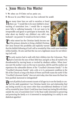# 4. Jesus Meets His Mother

V. We adore you O Christ and we praise you.

R. Because by your Holy Cross you have redeemed the world.

Aow many times have we said to ourselves or heard others say: "I would like to be more faithful to Jesus' teaching of nonviolent love. I would like to respond more fully to suffering humanity. I do not want to be irresponsible and ignore or participate in homicide. But, what about my family?—my children?—my wife?—my husband?—my parents? It would not be fair to them."

To what extent has the Christian family become one of the primary obstacles to living a faithful Christian life? Jesus foresaw this possibility and explicitly warned



that the faithful following of God's will as revealed by Him could cause hardships within families. He also said that this was not a legitimate excuse for not following God's will.

The early martyrs had to walk with their children into the Colosseum. They had to look into the eyes of their little boys and girls as they all waited to be disemboweled by starving beasts or torched by obedient soldiers. When Jesus' eyes met His mother's eyes on His way to execution, did He and His mother not experience the unbearable distress of the "Crucified Colosseum Family"? Is the "Crucified Colosseum Family" only a relic or is it a permanent condition in the life of the Church as long as the Beast of Power and Profit roams the earth? If the "Crucified Colosseum Family" does not exist today, does that mean the Beast has been pacified, harnessed or extinguished?

Do not all political and economic tyrants of all ages try to use the family to con-trol the adult population? Can Christian family love and relationship find any lasting security in any source other than unconditional obedience to God's will as revealed by Jesus Christ? Could Jesus have found any lasting life with Mary outside the cross of nonviolent love? Is the Beast really interested in preserving and protecting the family or is it interested in manipulating it to satisfy its own diabolical appetites?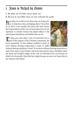# 5. Jesus is Helped by Simon

V. We adore you O Christ and we praise you.

R. Because by your Holy Cross you have redeemed the world.

How often do we fail to love those who are loving oth-ers, to help those who are helping others? How often do we fail to even consider that those who have chosen the long loneliness of the cross of nonviolent love are not supermen or wonder women but people subject to the same human limitations and frailties that we are?

To help carry each other's cross of nonviolent love is part of the purpose of the Christian community, the Peace community. To love without condition is hard. To serve without desiring reciprocation is hard. To suffer



without desiring retaliation is hard. To reconcile without desiring domination is hard. How many of our brothers and sisters have grown weary and fallen under the harsh and dreadful weight of the cross of nonviolent love not because we failed to be heroically Christ-like but simply because we were not Simon-like in our relations with them?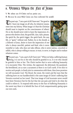## 6. Veronica Wipes the Face of Jesus

V. We adore you O Christ and we praise you.

R. Because by your Holy Cross you have redeemed the world.

The poet says, "I am a part of all I have met." For good or **Uill**, I leave my image on all who, by whatever means, enter into my history. What image is it that the Christian should want to imprint on the consciousness of others? He or she should never wish to leave the impression of a person who desires clout, the good life, class, style, pizzazz, the quick fix, the quick trigger, the quick buck, the easy life, or "gusto" without end. Rather, he or she should, as a follower of Jesus, desire to leave the impression of one who is always merciful, patient and kind, who is never



resentful or rude, who does not take offense, who is never jealous, conceited or selfish, who is always willing to excuse, to trust, to serve, to forgive and to endure whatever comes.

The poet says, "I am a part of all I have met." When we help a suffering human being, it is not he or she who should be grateful to us, it is we who should be grateful to him or her. The Christ teaches that to serve suffering humanity is to encounter Him. The victims, the oppressed, the deformed, the paralyzed, the bewildered, are as sure a sacrament as there is on God's earth. If we elect to receive such people, to freely join in communion with them, then Jesus promises we will encounter God. The blood, the sweat, the vomit and the tears that the suffering leave on our handkerchiefs is the same image of Christ's suffering that Veronica received on her towel. That true image of God incarnate never would have been Veronica's but for the fact that she saw pain and tried to do what she could to relieve it. To respond with mercy to the Face of Suffering Humanity is the surest way there is to behold the Face of God compassionately gazing upon our own souls.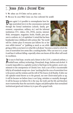# 7. Jesus Falls a Second Time

V. We adore you O Christ and we praise you.

R. Because by your Holy Cross you have redeemed the world.

Down again! Is it possible to overemphasize how for- $\mathbf w$  eign nonviolent love is to the consciousness nurtured through the formal institutions (schools, family, government, corporations, military, etc.) and the informal institutions (T.V., videos, CDs, DVDs, movies, internet, iPods, newspapers, magazines, books, Kindle, peer pressure to conform, etc.) of capitalism? A mind that has been bombarded since childhood with notions like "the world will be a better place if everyone just follows his or her own selfish interest" or "grabbing as much as can while



giving as little as you have to is what life is all about," becomes a mind to which the cross of nonviolent love seems like a crushing burden. Who can turn to it, accept it and bear it without falling—especially when one knows all this effort will result in crucifixion.

It is easy to find hope, security and a future in the G.D.P., a national anthem, a football team, military technology, Disneyland, drugs, fashion and alcohol. It is nearly impossible in a capitalist society to find hope in the patient, secret commitment to the omnipotence of Christic love. Such a use of life is incontestable folly by all standards except one—Jesus' teaching that the cross of nonviolent love is the power and the wisdom and the will of The Source of all Reality. If after our old capitalist mind throws us to the ground, our new Christ-mind picks us up, it will be because we believe Jesus is not lying, mistaken or mentally deranged. It will be because we believe He is the way, the truth and the life and therefore more trustworthy than the narcissistic slogans and philosophies that normalized institutional greed and violence try to pass off as gospel truth.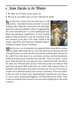#### 8. Jesus Speaks to the Women

V. We adore you O Christ and we praise you.

R. Because by your Holy Cross you have redeemed the world.

How often have we been told, how often have we told ourselves, "nonviolent love does not work"? In a world writhing under militaristic, bureaucratic and technologic oppression, what reasonableness is there in suggesting that the road of nonviolent love is a road to anything but total failure and permanent insignificance? As Jesus, brutally beaten in body and forced to carry the instrument of his own execution to the place of his death, looked at the women, what did he see in their eyes? Disbelief? Sadness? Confusion? Despair? Horror? Desolation?



Then the true cost of nonviolent love appeared before them did the women any longer believe that this was God's will, that this was the price that had to be paid for peace on earth, that this and only this could purchase salvation for the world? How often have we in our failures and fears and faint-heartedness looked at the price tag on nonviolent love and said, "This is too much. I cannot pay it. There just has to be a less expensive way to redeem the world." But what is this other way? Will hate drive out hate? Will violence drive out violence? Will greed drive out greed? Will cruelty drive out cruelty? Will retaliation drive out retaliation? We know better. Evil cannot overcome evil. The use of evil means to conquer evil is wholesale fraud in the economy of salvation. It has not worked. It does not work. It cannot work. Organized greed, mercilessness and violence as a way to peace, meaning and happiness are historically proven frauds. There is only one road back from evil and it costs more than anything else in this world to travel it.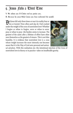## 9. Jesus Falls a Third Time

V. We adore you O Christ and we praise you.

R. Because by your Holy Cross you have redeemed the world.

Did Jesus fall only three times or was it in reality four or ten or twenty? How often each day do I feel crushed under the weight of the cross of nonviolent love? Whether I forgive or refuse to forgive, serve or refuse to serve, pray or refuse to pray—the burden seems to increase. The greatest of the saints after a lifetime of effort have often seen themselves as the greatest of sinners. This is not false humility. It is evidence that nonviolent love is a cross whose weight increases the more intensely one becomes aware that it is the Way of God unto personal and univer-



sal salvation. With this realization sin—the intentional rejection of the Cross of nonviolent love in theory or in practice—takes on insufferable gravity.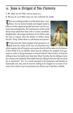## 10. Jesus is Stripped of His Garments

V. We adore you O Christ and we praise you.

R. Because by your Holy Cross you have redeemed the world.

There was nothing tasteful or tactful about Jesus' cruci-<br>fixion. He was beaten brutally and stripped naked as billions of other oppressed people have been over the centuries and are being today. The vested powers of this world always strip naked those they wish to control, humiliate, delegitimatize, discourage and destroy, for if clothes make the man or woman, then the absence of clothes means that the "thing" before them is a sub-human non-person.

To hide from the Christ stripped of his garments is to hide from the reality of the cross of nonviolent love



which requires that all be given and assumes that all will be taken by the Masters of this World if we are faithful. Must Jesus be willing to be stripped of his garments in order to bring humanity to eternal holiness? Must Francis of Assisi be willing to have his family turn from him? Must Dorothy Day be willing to leave her common-law husband? Must Edith Stein be willing to have her life torn from her at Auschwitz? "Yes." In a world saturated in the pomposity and banality of fashionable evil, they and we must be willing to be stripped to our bones if we wish to live Christ's cross of nonviolent love all the way to the Place of Skulls.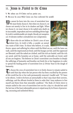# 11. Jesus is Nailed to the Cross

V. We adore you O Christ and we praise you.

R. Because by your Holy Cross you have redeemed the world.

We cannot be born into the cross of nonviolent love. We must freely choose it. But when we choose it, we choose not merely to live in its shadow and light. When we choose it, we must choose to be nailed unto death on its inscrutable, imprudent and ever unfolding divine logic. Its truth is unfathomable yet simple, bloody yet unequivocal. It tolerates neither contradiction nor compromise.

To those who do not believe in Christ's cross of non-violent love, its truth is folly, a scandal, an unrealistic waste of life's time. To those who believe, it is nails,



thorns, spears and suffering for others until the blind can see, until the lame can walk, until the imprisoned are freed, until the hungry are fed, until the oppressed are liberated, until the naked are clothed, until the sick are healed, until the rich are saved, until the homeless are at home, until the unlovable are loved, until all sins are forgiven. The believer in Christ's nonviolent cross breathes in deeply the sufferings of humanity and breathes out freely his or her happiness in order to spread the healing power of nonviolent love as Divine Yeast in the dough of humanity.

To choose the cross of nonviolent love is to freely choose to remain nailed to it until that day when the last person who has been crucified by the powers of this world has his or her nails permanently removed. Gandhi said: "If I have to be reborn, I wish to be born an untouchable so that I may share their sorrows, sufferings, and the affronts leveled at them in order that I may endeavor to free myself and them from that miserable condition." The Body of Christ elects to remain nailed to the cross of nonviolent love not for a day or a decade but until the last tear of the least redeemable person is wiped away by its Power of persevering, unceasing and unlimited Mercy.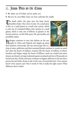#### 12. Jesus Dies on the Cross

V. We adore you O Christ and we praise you.

R. Because by your Holy Cross you have redeemed the world.

The death rattles, the open eyes, the limp, heavy, breathless body-this is how it ends. On a small piece of dirt on a small planet in a small solar system, which is only one of a hundred billion solar systems in a small galaxy, which is only one of billions of galaxies in the known universe—on this little space, life, personality, and possibility expire.

Hydrogen continues to turn into helium on the sun; people in China and Finland and Angola go about their business; microscopic life eats microscopic life in a



drop of water; politicians and their moneyed friends continue to connive as usual; fear seizes the hearts of millions; romance fills the hearts of millions of others; boredom and fatigue empty the hearts of billions; meals are cooked and eaten; dreams are dreamt; revenge is planned; games are played and tens of thousands are buried each day. All this and more continues to happen oblivious to the fact that a person has just freely chosen to die on the cross of nonviolent love. Does anyone know? Does anyone care? Was it worth it? Was it really the right course? What difference does it make?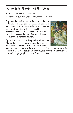# 13. Jesus is Taken from the Cross

V. We adore you O Christ and we praise you.

R. Because by your Holy Cross you have redeemed the world.

Piewing the mutilated body of the beloved is the most grief-ridden experience of human existence. It is incontrovertible evidence that evil rules. It is an unambiguous testament that in the end it is not the gentle, the nonviolent and the meek who inherit the earth but the cruel, the violent and the tough. Death and the dark side of reality are always the final victors.

The dead body of Christ lying wide-eyed and open-<br>mouthed upon the ground seems to be not only incontestable testimony that all this is true, but also the



most conclusive evidence that the cross of nonviolent love does not save—that the Sermon on the Mount is at best clearly wrong, and at worst, a socially irresponsible misleading of people into paths of total destruction.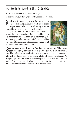## 14. Jesus is Laid in the Sepulcher

V. We adore you O Christ and we praise you.

R. Because by your Holy Cross you have redeemed the world.

It is all over. The person is placed in the grave—never to see nor to be seen again, never to speak nor to be spoken to again, never to love nor to be loved again. Never. Never. Never. He or she won't be back and after my time comes, neither will I. In the end those who choose the way of the cross of nonviolent love end up like all others—food for worms. Their molecules are randomly and irretrievably spread throughout an infinite and indifferent ocean of time and space. Hope of being again is pointless. Personal existence is lost forever.



One last moment. One last touch. One final kiss. A whispered, "I love you— good-bye forever," and then the rock is placed over the tomb. Nonviolent love, like hedonism, Aristotelianism, stoicism and all other philosophies, is ultimately an illusion without real power, a faith without divine substance. An occupied sepulcher is no more a symbol of hope than a Nazi crematory. The dead body of Christ is a stark and irrefutable statement that a life of nonviolent love is not the way to overcome violence, injustice, evil and death.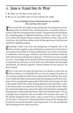## 15. Jesus is Raised from the Dead

V. We adore you O Christ and we praise you.

R. Because by your Holy Cross you have redeemed the world.

#### **"You are looking for Jesus of Nazareth who was crucified. He is not here, He is risen!"**

These words, these few simple words represent the most important and consoling words ever heard in time. All humanity lives, consciously and unconsciously, under the unceasing pressure of death. This pressure has turned history into competing gangs of organized lovelessness and fear. These words, "He is risen," release that pressure forever for those who believe in them. They are the Good News, the Good News without which all other good news is but the sound and the fury signifying nothing.

Christianity is faith in the risen and existing Jesus of Nazareth, who is the Christ and who taught by word and deed that nonviolent love is the means of overcoming evil and death in all their manifestations. Jesus Christ's resurrection is confirmation of his message. God did not raise him from the dead to deny the truth of the Sermon on the Mount: St. Paul says, "If Christ has not risen, our faith is in vain." True enough, but the fact that Christ has risen means that his teaching of nonviolent love and mercy as God's will is true, and therefore must be taught and followed, not altered or ignored, if eternal salvation for one and all is our desire and goal.

Christ is risen! does not mean that Jesus lives on in history as Lenin lives on in his revolution or as Rockefeller lives on in his oil company. Jesus does not live on because people have faith in him and proclaim his teaching. The reverse is true. People have faith in him and proclaim his teaching because he lives. Jesus' resurrection is not dependent upon people's faith in him or his message. It is rather that people's faith in him and his message depends on his resurrection. In fact, at the moment Jesus was raised from the dead, no one had faith in him. When the ointment-bearing women went to the tomb on that first Easter morning they only expected to see the dead body of Jesus. When they heard the words, "You are looking for Jesus of Nazareth, who was crucified. He is not here, He is risen," all life radically changed for them, forever—and so it must be for us. Everything in our lives that is not based on a Resurrection faith in Jesus and his message must be rejected. Once one has found the "pearl of great price" he or she automatically sells everything of lesser value to procure it.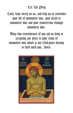## Let Us Pray

Lord, have mercy on us, and help us to remember your life of nonviolent love, your death in nonviolent love and your resurrection through nonviolent love.

May this remembrance of you aid us daily in accepting our share in your cross of nonviolent love which is our God-given destiny in faith with you. Amen.

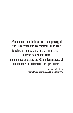Nonviolent love belongs to the mystery of the Redeemer and redemption. The test is whether one shares in that mystery… Christ has shown that nonviolence is strength. The effectiveness of nonviolence is ultimately the open tomb.

> Fr. Bernard Häring The Healing Power of Peace & Honviolence